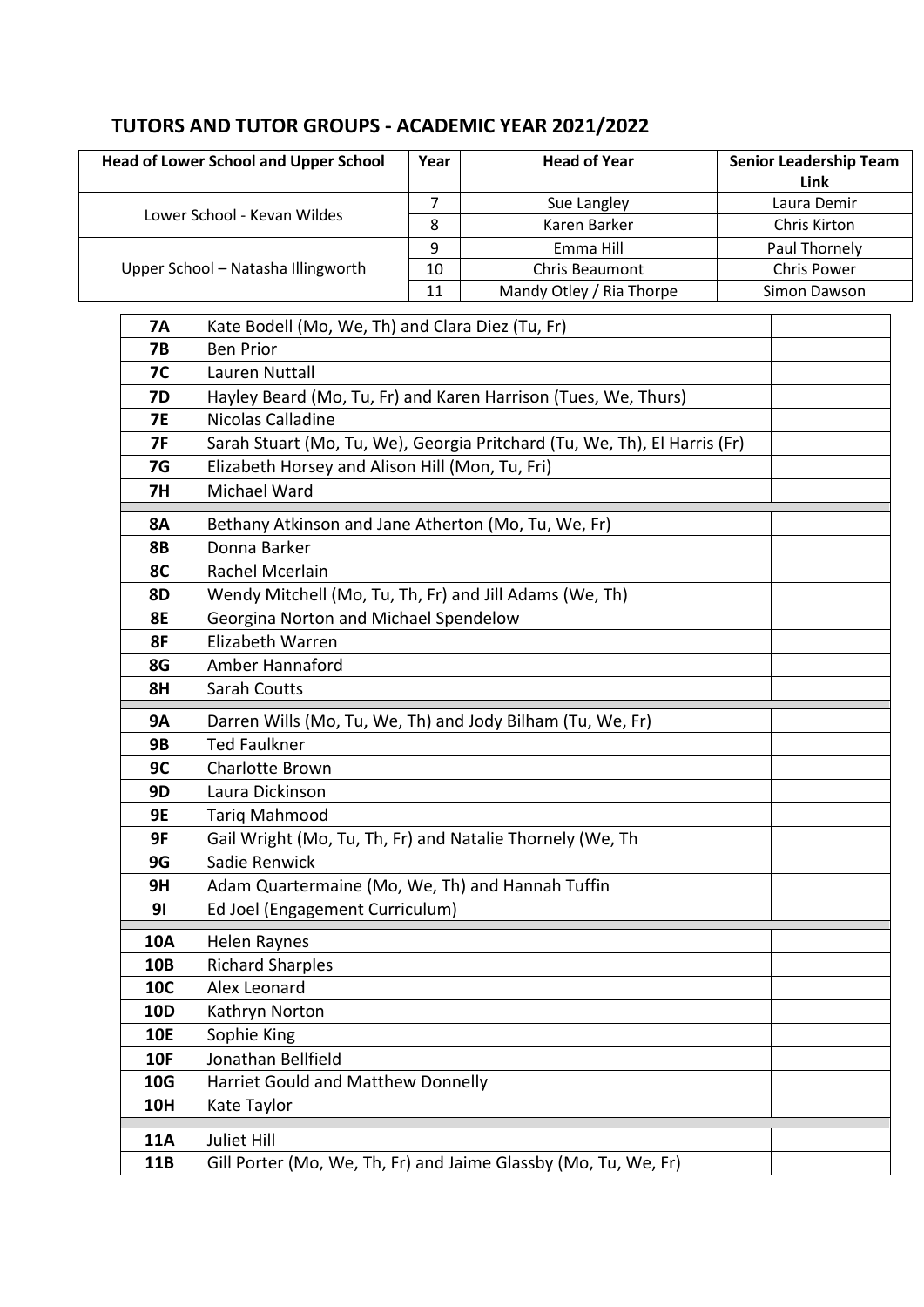## **TUTORS AND TUTOR GROUPS - ACADEMIC YEAR 2021/2022**

| <b>Head of Lower School and Upper School</b> | Year | <b>Head of Year</b>      | <b>Senior Leadership Team</b><br>Link |
|----------------------------------------------|------|--------------------------|---------------------------------------|
| Lower School - Kevan Wildes                  |      | Sue Langley              | Laura Demir                           |
|                                              | 8    | Karen Barker             | Chris Kirton                          |
| Upper School - Natasha Illingworth           | 9    | Emma Hill                | Paul Thornely                         |
|                                              | 10   | <b>Chris Beaumont</b>    | <b>Chris Power</b>                    |
|                                              | 11   | Mandy Otley / Ria Thorpe | Simon Dawson                          |

| <b>7A</b>  | Kate Bodell (Mo, We, Th) and Clara Diez (Tu, Fr)                          |  |
|------------|---------------------------------------------------------------------------|--|
| <b>7B</b>  | <b>Ben Prior</b>                                                          |  |
| <b>7C</b>  | Lauren Nuttall                                                            |  |
| 7D         | Hayley Beard (Mo, Tu, Fr) and Karen Harrison (Tues, We, Thurs)            |  |
| 7E         | Nicolas Calladine                                                         |  |
| 7F         | Sarah Stuart (Mo, Tu, We), Georgia Pritchard (Tu, We, Th), El Harris (Fr) |  |
| 7G         | Elizabeth Horsey and Alison Hill (Mon, Tu, Fri)                           |  |
| <b>7H</b>  | Michael Ward                                                              |  |
| <b>8A</b>  | Bethany Atkinson and Jane Atherton (Mo, Tu, We, Fr)                       |  |
| <b>8B</b>  | Donna Barker                                                              |  |
| 8C         | Rachel Mcerlain                                                           |  |
| 8D         | Wendy Mitchell (Mo, Tu, Th, Fr) and Jill Adams (We, Th)                   |  |
| <b>8E</b>  | Georgina Norton and Michael Spendelow                                     |  |
| 8F         | Elizabeth Warren                                                          |  |
| 8G         | Amber Hannaford                                                           |  |
| 8H         | Sarah Coutts                                                              |  |
| <b>9A</b>  | Darren Wills (Mo, Tu, We, Th) and Jody Bilham (Tu, We, Fr)                |  |
| <b>9B</b>  | <b>Ted Faulkner</b>                                                       |  |
| 9C         | Charlotte Brown                                                           |  |
| 9D         | Laura Dickinson                                                           |  |
| 9E         | <b>Tariq Mahmood</b>                                                      |  |
| 9F         | Gail Wright (Mo, Tu, Th, Fr) and Natalie Thornely (We, Th                 |  |
| 9G         | Sadie Renwick                                                             |  |
| 9H         | Adam Quartermaine (Mo, We, Th) and Hannah Tuffin                          |  |
| 91         | Ed Joel (Engagement Curriculum)                                           |  |
| 10A        | Helen Raynes                                                              |  |
| <b>10B</b> | <b>Richard Sharples</b>                                                   |  |
| 10C        | Alex Leonard                                                              |  |
| 10D        | Kathryn Norton                                                            |  |
| <b>10E</b> | Sophie King                                                               |  |
| <b>10F</b> | Jonathan Bellfield                                                        |  |
| <b>10G</b> | Harriet Gould and Matthew Donnelly                                        |  |
| <b>10H</b> | Kate Taylor                                                               |  |
| <b>11A</b> | Juliet Hill                                                               |  |
| 11B        | Gill Porter (Mo, We, Th, Fr) and Jaime Glassby (Mo, Tu, We, Fr)           |  |